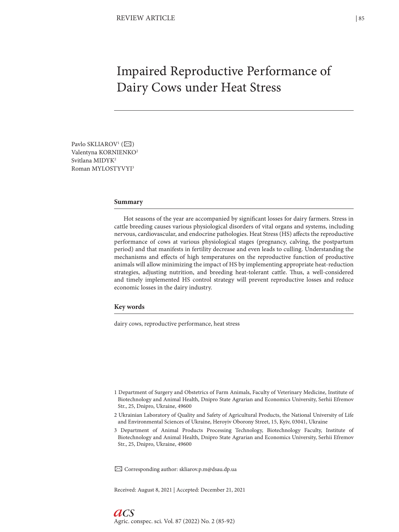# Impaired Reproductive Performance of Dairy Cows under Heat Stress

Pavlo SKLIAROV<sup>1</sup> (⊠) Valentуna KORNIENKO2 Svitlana MIDYK2 Roman MYLOSTYVYI3

#### **Summary**

Hot seasons of the year are accompanied by significant losses for dairy farmers. Stress in cattle breeding causes various physiological disorders of vital organs and systems, including nervous, cardiovascular, and endocrine pathologies. Heat Stress (HS) affects the reproductive performance of cows at various physiological stages (pregnancy, calving, the postpartum period) and that manifests in fertility decrease and even leads to culling. Understanding the mechanisms and effects of high temperatures on the reproductive function of productive animals will allow minimizing the impact of HS by implementing appropriate heat-reduction strategies, adjusting nutrition, and breeding heat-tolerant cattle. Thus, a well-considered and timely implemented HS control strategy will prevent reproductive losses and reduce economic losses in the dairy industry.

#### **Key words**

dairy cows, reproductive performance, heat stress

- 1 Department of Surgery and Obstetrics of Farm Animals, Faculty of Veterinary Medicine, Institute of Biotechnology and Animal Health, Dnipro State Agrarian and Economics University, Serhii Efremov Str., 25, Dnipro, Ukraine, 49600
- 2 Ukrainian Laboratory of Quality and Safety of Agricultural Products, the National University of Life and Environmental Sciences of Ukraine, Heroyiv Oborony Street, 15, Kyiv, 03041, Ukraine
- 3 Department of Animal Products Processing Technology, Biotechnology Faculty, Institute of Biotechnology and Animal Health, Dnipro State Agrarian and Economics University, Serhii Efremov Str., 25, Dnipro, Ukraine, 49600

✉ Corresponding author: skliarov.p.m@dsau.dp.ua

Received: August 8, 2021 | Accepted: December 21, 2021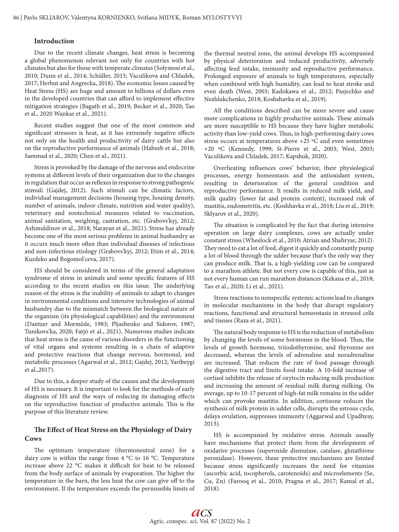#### **Introduction**

Due to the recent climate changes, heat stress is becoming a global phenomenon relevant not only for countries with hot climates but also for those with temperate climates (Solymosi et al., 2010; Dunn et al., 2014; Schüller, 2015; Vaculikova and Chladek, 2017; Herbut and Angrecka, 2018). The economic losses caused by Heat Stress (HS) are huge and amount to billions of dollars even in the developed countries that can afford to implement effective mitigation strategies (Bagath et al., 2019; Becker et al., 2020; Tao et al., 2020 Wankar et al., 2021).

Recent studies suggest that one of the most common and significant stressors is heat, as it has extremely negative effects not only on the health and productivity of dairy cattle but also on the reproductive performance of animals (Habeeb et al., 2018; Sammad et al., 2020; Chen et al., 2021).

Stress is provoked by the damage of the nervous and endocrine systems at different levels of their organization due to the changes in regulation that occur as reflexes in response to strong pathogenic stimuli (Gajdej, 2012). Such stimuli can be climatic factors, individual management decisions (housing type, housing density, number of animals, indoor climate, nutrition and water quality), veterinary and zootechnical measures related to vaccination, animal sanitation, weighing, castration, etc. (Grabovs'kyj, 2012; Azhmuldinov et al., 2018; Narayan et al., 2021). Stress has already become one of the most serious problems in animal husbandry as it occurs much more often than individual diseases of infectious and non-infectious etiology (Grabovs'kyj, 2012; Etim et al., 2014; Kurdeko and Bogomol'ceva, 2017).

HS should be considered in terms of the general adaptation syndrome of stress in animals and some specific features of HS according to the recent studies on this issue. The underlying reason of the stress is the inability of animals to adapt to changes in environmental conditions and intensive technologies of animal husbandry due to the mismatch between the biological nature of the organism (its physiological capabilities) and the environment (Dantzer and Mormède, 1983; Pljashenko and Sidorov, 1987; Tunikovs'ka, 2020; Fatjó et al., 2021). Numerous studies indicate that heat stress is the cause of various disorders in the functioning of vital organs and systems resulting in a chain of adaptive and protective reactions that change nervous, hormonal, and metabolic processes (Agarwal et al., 2012; Gajdej, 2012; Yaribeygi et al.,2017).

Due to this, a deeper study of the causes and the development of HS is necessary. It is important to look for the methods of early diagnosis of HS and the ways of reducing its damaging effects on the reproductive function of productive animals. This is the purpose of this literature review.

## **The Effect of Heat Stress on the Physiology of Dairy Cows**

The optimum temperature (thermoneutral zone) for a dairy cow is within the range from 4 °C to 16 °C. Temperature increase above 22 °C makes it difficult for heat to be released from the body surface of animals by evaporation. The higher the temperature in the barn, the less heat the cow can give off to the environment. If the temperature exceeds the permissible limits of

the thermal neutral zone, the animal develops HS accompanied by physical deterioration and reduced productivity, adversely affecting feed intake, immunity and reproductive performance. Prolonged exposure of animals to high temperatures, especially when combined with high humidity, can lead to heat stroke and even death (West, 2003; Kadokawa et al., 2012; Pasjechko and Nezhlukchenko, 2018; Koshshavka et al., 2019).

All the conditions described can be more severe and cause more complications in highly productive animals. These animals are more susceptible to HS because they have higher metabolic activity than low-yield cows. Thus, in high-performing dairy cows stress occurs at temperatures above +25 ºC and even sometimes +20 ºC (Kennedy, 1999; St-Pierre et al., 2003; West, 2003; Vaculikova and Chladek, 2017; Kapshuk, 2020).

Overheating influences cows' behavior, their physiological processes, energy homeostasis and the antioxidant system, resulting in deterioration of the general condition and reproductive performance. It results in reduced milk yield, and milk quality (lower fat and protein content), increased risk of mastitis, endometritis, etc. (Koshhavka et al., 2018; Liu et al., 2019; Sklyarov et al., 2020).

The situation is complicated by the fact that during intensive operation on large dairy complexes, cows are actually under constant stress (Wheelock et al., 2010; Atrian and Shahryar, 2012). They need to eat a lot of feed, digest it quickly and constantly pump a lot of blood through the udder because that's the only way they can produce milk. That is, a high-yielding cow can be compared to a marathon athlete. But not every cow is capable of this, just as not every human can run marathon distances (Kekana et al., 2018; Tao et al., 2020; Li et al., 2021).

Stress reactions to nonspecific systemic actions lead to changes in molecular mechanisms in the body that disrupt regulatory reactions, functional and structural homeostasis in stressed cells and tissues (Raza et al., 2021).

The natural body response to HS is the reduction of metabolism by changing the levels of some hormones in the blood. Thus, the levels of growth hormone, triiodothyronine, and thyroxine are decreased, whereas the levels of adrenaline and noradrenaline are increased. That reduces the rate of food passage through the digestive tract and limits food intake. A 10-fold increase of cortisol inhibits the release of oxytocin reducing milk production and increasing the amount of residual milk during milking. On average, up to 10-17 percent of high-fat milk remains in the udder which can provoke mastitis. In addition, cortisone reduces the synthesis of milk protein in udder cells, disrupts the estrous cycle, delays ovulation, suppresses immunity (Aggarwal and Upadhyay, 2013).

HS is accompanied by oxidative stress. Animals usually have mechanisms that protect them from the development of oxidative processes (superoxide dismutase, catalase, glutathione peroxidase). However, these protective mechanisms are limited because stress significantly increases the need for vitamins (ascorbic acid, tocopherols, carotenoids) and microelements (Se, Cu, Zn) (Farooq et al., 2010; Pragna et al., 2017; Kamal et al., 2018).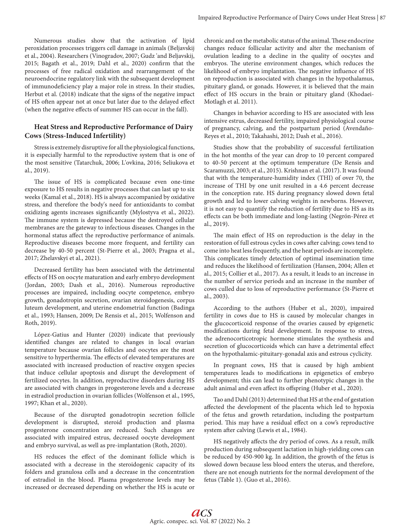Numerous studies show that the activation of lipid peroxidation processes triggers cell damage in animals (Beljavskij et al., 2004). Researchers (Vinogradov, 2007; Gudz 'and Beljavskij, 2015; Bagath et al., 2019; Dahl et al., 2020) confirm that the processes of free radical oxidation and rearrangement of the neuroendocrine regulatory link with the subsequent development of immunodeficiency play a major role in stress. In their studies, Herbut et al. (2018) indicate that the signs of the negative impact of HS often appear not at once but later due to the delayed effect (when the negative effects of summer HS can occur in the fall).

#### **Heat Stress and Reproductive Performance of Dairy Cows (Stress-Induced Infertility)**

Stress is extremely disruptive for all the physiological functions, it is especially harmful to the reproductive system that is one of the most sensitive (Tatarchuk, 2006; L'ovkina, 2016; Seliukova et al., 2019).

The issue of HS is complicated because even one-time exposure to HS results in negative processes that can last up to six weeks (Kamal et al., 2018). HS is always accompanied by oxidative stress, and therefore the body's need for antioxidants to combat oxidizing agents increases significantly (Mylostуva et al., 2022). The immune system is depressed because the destroyed cellular membranes are the gateway to infectious diseases. Changes in the hormonal status affect the reproductive performance of animals. Reproductive diseases become more frequent, and fertility can decrease by 40-50 percent (St-Pierre et al., 2003; Pragna et al., 2017; Zhelavskyi et al., 2021).

Decreased fertility has been associated with the detrimental effects of HS on oocyte maturation and early embryo development (Jordan, 2003; Dash et al., 2016). Numerous reproductive processes are impaired, including oocyte competence, embryo growth, gonadotropin secretion, ovarian steroidogenesis, corpus luteum development, and uterine endometrial function (Badinga et al., 1993; Hansen, 2009; De Rensis et al., 2015; Wolfenson and Roth, 2019).

López-Gatius and Hunter (2020) indicate that previously identified changes are related to changes in local ovarian temperature because ovarian follicles and oocytes are the most sensitive to hyperthermia. The effects of elevated temperatures are associated with increased production of reactive oxygen species that induce cellular apoptosis and disrupt the development of fertilized oocytes. In addition, reproductive disorders during HS are associated with changes in progesterone levels and a decrease in estradiol production in ovarian follicles (Wolfenson et al., 1995, 1997; Khan et al., 2020).

Because of the disrupted gonadotropin secretion follicle development is disrupted, steroid production and plasma progesterone concentration are reduced. Such changes are associated with impaired estrus, decreased oocyte development and embryo survival, as well as pre-implantation (Roth, 2020).

HS reduces the effect of the dominant follicle which is associated with a decrease in the steroidogenic capacity of its folders and granulosa cells and a decrease in the concentration of estradiol in the blood. Plasma progesterone levels may be increased or decreased depending on whether the HS is acute or

chronic and on the metabolic status of the animal. These endocrine changes reduce follicular activity and alter the mechanism of ovulation leading to a decline in the quality of oocytes and embryos. The uterine environment changes, which reduces the likelihood of embryo implantation. The negative influence of HS on reproduction is associated with changes in the hypothalamus, pituitary gland, or gonads. However, it is believed that the main effect of HS occurs in the brain or pituitary gland (Khodaei-Motlagh et al. 2011).

Changes in behavior according to HS are associated with less intensive estrus, decreased fertility, impaired physiological course of pregnancy, calving, and the postpartum period (Avendaño-Reyes et al., 2010; Takahashi, 2012; Dash et al., 2016).

Studies show that the probability of successful fertilization in the hot months of the year can drop to 10 percent compared to 40-50 percent at the optimum temperature (De Rensis and Scaramuzzi, 2003; et al., 2015). Krishnan et al. (2017). It was found that with the temperature-humidity index (THI) of over 70, the increase of THI by one unit resulted in a 4.6 percent decrease in the conception rate. HS during pregnancy slowed down fetal growth and led to lower calving weights in newborns. However, it is not easy to quantify the reduction of fertility due to HS as its effects can be both immediate and long-lasting (Negrón-Pérez et al., 2019).

The main effect of HS on reproduction is the delay in the restoration of full estrous cycles in cows after calving; cows tend to come into heat less frequently, and the heat periods are incomplete. This complicates timely detection of optimal insemination time and reduces the likelihood of fertilization (Hansen, 2004; Allen et al., 2015; Collier et al., 2017). As a result, it leads to an increase in the number of service periods and an increase in the number of cows culled due to loss of reproductive performance (St-Pierre et al., 2003).

According to the authors (Huber et al., 2020), impaired fertility in cows due to HS is caused by molecular changes in the glucocorticoid response of the ovaries caused by epigenetic modifications during fetal development. In response to stress, the adrenocorticotropic hormone stimulates the synthesis and secretion of glucocorticoids which can have a detrimental effect on the hypothalamic-pituitary-gonadal axis and estrous cyclicity.

In pregnant cows, HS that is caused by high ambient temperatures leads to modifications in epigenetics of embryo development; this can lead to further phenotypic changes in the adult animal and even affect its offspring (Huber et al., 2020).

Tao and Dahl (2013) determined that HS at the end of gestation affected the development of the placenta which led to hypoxia of the fetus and growth retardation, including the postpartum period. This may have a residual effect on a cow's reproductive system after calving (Lewis et al., 1984).

HS negatively affects the dry period of cows. As a result, milk production during subsequent lactation in high-yielding cows can be reduced by 450-900 kg. In addition, the growth of the fetus is slowed down because less blood enters the uterus, and therefore, there are not enough nutrients for the normal development of the fetus (Table 1). (Guo et al., 2016).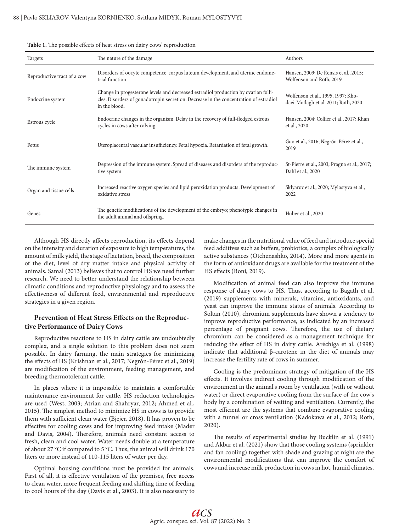| Targets                     | The nature of the damage                                                                                                                                                                     | Authors                                                                    |
|-----------------------------|----------------------------------------------------------------------------------------------------------------------------------------------------------------------------------------------|----------------------------------------------------------------------------|
| Reproductive tract of a cow | Disorders of oocyte competence, corpus luteum development, and uterine endome-<br>trial function                                                                                             | Hansen, 2009; De Rensis et al., 2015;<br>Wolfenson and Roth, 2019          |
| Endocrine system            | Change in progesterone levels and decreased estradiol production by ovarian folli-<br>cles. Disorders of gonadotropin secretion. Decrease in the concentration of estradiol<br>in the blood. | Wolfenson et al., 1995, 1997; Kho-<br>daei-Motlagh et al. 2011; Roth, 2020 |
| Estrous cycle               | Endocrine changes in the organism. Delay in the recovery of full-fledged estrous<br>cycles in cows after calving.                                                                            | Hansen, 2004; Collier et al., 2017; Khan<br>et al., 2020                   |
| Fetus                       | Uteroplacental vascular insufficiency. Fetal hypoxia. Retardation of fetal growth.                                                                                                           | Guo et al., 2016; Negrón-Pérez et al.,<br>2019                             |
| The immune system           | Depression of the immune system. Spread of diseases and disorders of the reproduc-<br>tive system                                                                                            | St-Pierre et al., 2003; Pragna et al., 2017;<br>Dahl et al., 2020          |
| Organ and tissue cells      | Increased reactive oxygen species and lipid peroxidation products. Development of<br>oxidative stress                                                                                        | Sklyarov et al., 2020; Mylostyva et al.,<br>2022                           |
| Genes                       | The genetic modifications of the development of the embryo; phenotypic changes in<br>the adult animal and offspring.                                                                         | Huber et al., 2020                                                         |

**Table 1.** The possible effects of heat stress on dairy cows' reproduction

Although HS directly affects reproduction, its effects depend on the intensity and duration of exposure to high temperatures, the amount of milk yield, the stage of lactation, breed, the composition of the diet, level of dry matter intake and physical activity of animals. Samal (2013) believes that to control HS we need further research. We need to better understand the relationship between climatic conditions and reproductive physiology and to assess the effectiveness of different feed, environmental and reproductive strategies in a given region.

## **Prevention of Heat Stress Effects on the Reproductive Performance of Dairy Cows**

Reproductive reactions to HS in dairy cattle are undoubtedly complex, and a single solution to this problem does not seem possible. In dairy farming, the main strategies for minimizing the effects of HS (Krishnan et al., 2017; Negrón-Pérez et al., 2019) are modification of the environment, feeding management, and breeding thermotolerant cattle.

In places where it is impossible to maintain a comfortable maintenance environment for cattle, HS reduction technologies are used (West, 2003; Atrian and Shahryar, 2012; Ahmed et al., 2015). The simplest method to minimize HS in cows is to provide them with sufficient clean water (Bjejer, 2018). It has proven to be effective for cooling cows and for improving feed intake (Mader and Davis, 2004). Therefore, animals need constant access to fresh, clean and cool water. Water needs double at a temperature of about 27 °C if compared to 5 °C. Thus, the animal will drink 170 liters or more instead of 110-115 liters of water per day.

Optimal housing conditions must be provided for animals. First of all, it is effective ventilation of the premises, free access to clean water, more frequent feeding and shifting time of feeding to cool hours of the day (Davis et al., 2003). It is also necessary to make changes in the nutritional value of feed and introduce special feed additives such as buffers, probiotics, a complex of biologically active substances (Otchenashko, 2014). More and more agents in the form of antioxidant drugs are available for the treatment of the HS effects (Boni, 2019).

Modification of animal feed can also improve the immune response of dairy cows to HS. Thus, according to Bagath et al. (2019) supplements with minerals, vitamins, antioxidants, and yeast can improve the immune status of animals. According to Soltan (2010), chromium supplements have shown a tendency to improve reproductive performance, as indicated by an increased percentage of pregnant cows. Therefore, the use of dietary chromium can be considered as a management technique for reducing the effect of HS in dairy cattle. Aréchiga et al. (1998) indicate that additional β-carotene in the diet of animals may increase the fertility rate of cows in summer.

Cooling is the predominant strategy of mitigation of the HS effects. It involves indirect cooling through modification of the environment in the animal's room by ventilation (with or without water) or direct evaporative cooling from the surface of the cow's body by a combination of wetting and ventilation. Currently, the most efficient are the systems that combine evaporative cooling with a tunnel or cross ventilation (Kadokawa et al., 2012; Roth, 2020).

The results of experimental studies by Bucklin et al. (1991) and Akbar et al. (2021) show that those cooling systems (sprinkler and fan cooling) together with shade and grazing at night are the environmental modifications that can improve the comfort of cows and increase milk production in cows in hot, humid climates.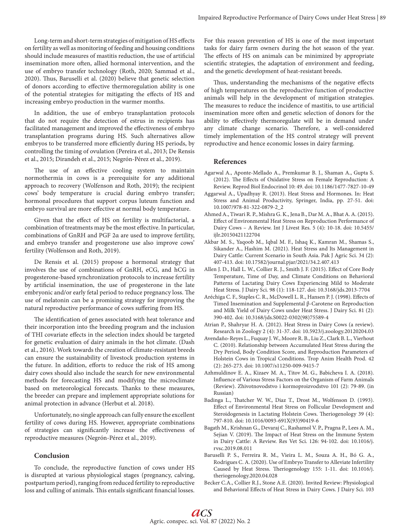Long-term and short-term strategies of mitigation of HS effects on fertility as well as monitoring of feeding and housing conditions should include measures of mastitis reduction, the use of artificial insemination more often, allied hormonal intervention, and the use of embryo transfer technology (Roth, 2020; Sammad et al., 2020). Thus, Baruselli et al. (2020) believe that genetic selection of donors according to effective thermoregulation ability is one of the potential strategies for mitigating the effects of HS and increasing embryo production in the warmer months.

In addition, the use of embryo transplantation protocols that do not require the detection of estrus in recipients has facilitated management and improved the effectiveness of embryo transplantation programs during HS. Such alternatives allow embryos to be transferred more efficiently during HS periods, by controlling the timing of ovulation (Pereira et al., 2013; De Rensis et al., 2015; Dirandeh et al., 2015; Negrón-Pérez et al., 2019).

The use of an effective cooling system to maintain normothermia in cows is a prerequisite for any additional approach to recovery (Wolfenson and Roth, 2019); the recipient cows' body temperature is crucial during embryo transfer; hormonal procedures that support corpus luteum function and embryo survival are more effective at normal body temperature.

Given that the effect of HS on fertility is multifactorial, a combination of treatments may be the most effective. In particular, combinations of GnRH and PGF 2α are used to improve fertility, and embryo transfer and progesterone use also improve cows' fertility (Wolfenson and Roth, 2019).

De Rensis et al. (2015) propose a hormonal strategy that involves the use of combinations of GnRH, eCG, and hCG in progesterone-based synchronization protocols to increase fertility by artificial insemination, the use of progesterone in the late embryonic and/or early fetal period to reduce pregnancy loss. The use of melatonin can be a promising strategy for improving the natural reproductive performance of cows suffering from HS.

The identification of genes associated with heat tolerance and their incorporation into the breeding program and the inclusion of THI covariate effects in the selection index should be targeted for genetic evaluation of dairy animals in the hot climate. (Dash et al., 2016). Work towards the creation of climate-resistant breeds can ensure the sustainability of livestock production systems in the future. In addition, efforts to reduce the risk of HS among dairy cows should also include the search for new environmental methods for forecasting HS and modifying the microclimate based on meteorological forecasts. Thanks to these measures, the breeder can prepare and implement appropriate solutions for animal protection in advance (Herbut et al. 2018).

Unfortunately, no single approach can fully ensure the excellent fertility of cows during HS. However, appropriate combinations of strategies can significantly increase the effectiveness of reproductive measures (Negrón-Pérez et al., 2019).

## **Conclusion**

To conclude, the reproductive function of cows under HS is disrupted at various physiological stages (pregnancy, calving, postpartum period), ranging from reduced fertility to reproductive loss and culling of animals. This entails significant financial losses. For this reason prevention of HS is one of the most important tasks for dairy farm owners during the hot season of the year. The effects of HS on animals can be minimized by appropriate scientific strategies, the adaptation of environment and feeding, and the genetic development of heat-resistant breeds.

Thus, understanding the mechanisms of the negative effects of high temperatures on the reproductive function of productive animals will help in the development of mitigation strategies. The measures to reduce the incidence of mastitis, to use artificial insemination more often and genetic selection of donors for the ability to effectively thermoregulate will be in demand under any climate change scenario. Therefore, a well-considered timely implementation of the HS control strategy will prevent reproductive and hence economic losses in dairy farming.

## **References**

- Agarwal A., Aponte-Mellado A., Premkumar B. J., Shaman A., Gupta S. (2012). The Effects of Oxidative Stress on Female Reproduction: A Review. Reprod Biol Endocrinol 10: 49. doi: 10.1186/1477-7827-10-49
- Aggarwal A., Upadhyay R. (2013). Heat Stress and Hormones. In: Heat Stress and Animal Productivity, Springer, India, pp. 27-51. doi: 10.1007/978-81-322-0879-2\_2
- Ahmed A., Tiwari R. P., Mishra G. K., Jena B., Dar M. A., Bhat A. A. (2015). Effect of Environmental Heat Stress on Reproduction Performance of Dairy Cows – A Review. Int J Livest Res. 5 (4): 10-18. doi: 10.5455/ ijlr.20150421122704
- Akbar M. S., Yaqoob M., Iqbal M. F., Ishaq K., Kamran M., Shamas S., Sikander A., Hashim M. (2021). Heat Stress and Its Management in Dairy Cattle: Current Scenario in South Asia. Pak J Agric Sci. 34 (2): 407-413. doi: 10.17582/journal.pjar/2021/34.2.407.413
- Allen J. D., Hall L. W., Collier R. J., Smith J. F. (2015). Effect of Core Body Temperature, Time of Day, and Climate Conditions on Behavioral Patterns of Lactating Dairy Cows Experiencing Mild to Moderate Heat Stress. J Dairy Sci. 98 (1): 118-127. doi: 10.3168/jds.2013-7704
- Aréchiga C. F., Staples C. R., McDowell L. R., Hansen P. J. (1998). Effects of Timed Insemination and Supplemental β-Carotene on Reproduction and Milk Yield of Dairy Cows under Heat Stress. J Dairy Sci. 81 (2): 390-402. doi: 10.3168/jds.S0022-0302(98)75589-4
- Atrian P., Shahryar H. A. (2012). Heat Stress in Dairy Cows (a review). Research in Zoology 2 (4): 31-37. doi: 10.5923/j.zoology.20120204.03
- Avendaño-Reyes L., Fuquay J. W., Moore R. B., Liu Z., Clark B. L., Vierhout C. (2010). Relationship between Accumulated Heat Stress during the Dry Period, Body Condition Score, and Reproduction Parameters of Holstein Cows in Tropical Conditions. Trop Anim Health Prod. 42 (2): 265-273. doi: 10.1007/s11250-009-9415-7
- Azhmuldinov E. A., Kizaev M. A., Titov M. G., Babicheva I. A. (2018). Influence of Various Stress Factors on the Organism of Farm Animals (Review). Zhivotnovodstvo i kormoproizvodstvo 101 (2): 79-89. (in Russian)
- Badinga L., Thatcher W. W., Diaz T., Drost M., Wolfenson D. (1993). Effect of Environmental Heat Stress on Follicular Development and Steroidogenesis in Lactating Holstein Cows. Theriogenology 39 (4): 797-810. doi: 10.1016/0093-691X(93)90419-6
- Bagath M., Krishnan G., Devaraj C., Rashamol V. P., Pragna P., Lees A. M., Sejian V. (2019). The Impact of Heat Stress on the Immune System in Dairy Cattle: A Review. Res Vet Sci. 126: 94-102. doi: 10.1016/j. rvsc.2019.08.011
- Baruselli P. S., Ferreira R. M., Vieira L. M., Souza A. H., Bó G. A., Rodrigues C. A. (2020). Use of Embryo Transfer to Alleviate Infertility Caused by Heat Stress. Theriogenology 155: 1-11. doi: 10.1016/j. theriogenology.2020.04.028
- Becker C.A., Collier R.J., Stone A.E. (2020). Invited Review: Physiological and Behavioral Effects of Heat Stress in Dairy Cows. J Dairy Sci. 103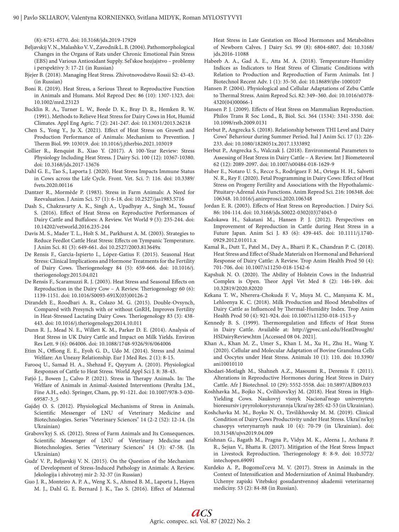(8): 6751-6770. doi: 10.3168/jds.2019-17929

- Beljavskij V. N., Malashko V. V., Zavodnik L. B. (2004). Pathomorphological Changes in the Organs of Rats under Chronic Emotional Pain Stress (EBS) and Various Antioxidant Supply. Sel'skoe hozjajstvo – problemy i perspektivy 3: 17-21 (in Russian)
- Bjejer B. (2018). Managing Heat Stress. Zhivotnovodstvo Rossii S2: 43-43. (in Russian)
- Boni R. (2019). Heat Stress, a Serious Threat to Reproductive Function in Animals and Humans. Mol Reprod Dev. 86 (10): 1307-1323. doi: 10.1002/mrd.23123
- Bucklin R. A., Turner L. W., Beede D. K., Bray D. R., Hemken R. W. (1991). Methods to Relieve Heat Stress for Dairy Cows in Hot, Humid Climates. Appl Eng Agric. 7 (2): 241-247. doi: 10.13031/2013.26218
- Chen S., Yong Y., Ju X. (2021). Effect of Heat Stress on Growth and Production Performance of Animals: Mechanism to Prevention. J Therm Biol. 99: 103019. doi: 10.1016/j.jtherbio.2021.103019
- Collier R., Renquist B., Xiao Y. (2017). A 100-Year Review: Stress Physiology Including Heat Stress. J Dairy Sci. 100 (12): 10367-10380. doi: 10.3168/jds.2017-13676
- Dahl G. E., Tao S., Laporta J. (2020). Heat Stress Impacts Immune Status in Cows across the Life Cycle. Front. Vet. Sci. 7: 116. doi: 10.3389/ fvets.2020.00116
- Dantzer R., Mormède P. (1983). Stress in Farm Animals: A Need for Reevaluation. J Anim Sci. 57 (1): 6-18. doi: 10.2527/jas1983.5716
- Dash S., Chakravarty A. K., Singh A., Upadhyay A., Singh M., Yousuf S. (2016). Effect of Heat Stress on Reproductive Performances of Dairy Cattle and Buffaloes: A Review. Vet World 9 (3): 235-244. doi: 10.14202/vetworld.2016.235-244
- Davis M. S., Mader T. L., Holt S. M., Parkhurst A. M. (2003). Strategies to Reduce Feedlot Cattle Heat Stress: Effects on Tympanic Temperature. J Anim Sci. 81 (3): 649-661. doi 10.2527/2003.813649x
- De Rensis F., Garcia-Ispierto I., López-Gatius F. (2015). Seasonal Heat Stress: Clinical Implications and Hormone Treatments for the Fertility of Dairy Cows. Theriogenology 84 (5): 659-666. doi: 10.1016/j. theriogenology.2015.04.021
- De Rensis F., Scaramuzzi R. J. (2003). Heat Stress and Seasonal Effects on Reproduction in the Dairy Cow – A Review. Theriogenology 60 (6): 1139-1151. doi: 10.1016/S0093-691X(03)00126-2
- Dirandeh E., Roodbari A. R., Colazo M. G. (2015). Double-Ovsynch, Compared with Presynch with or without GnRH, Improves Fertility in Heat-Stressed Lactating Dairy Cows. Theriogenology 83 (3): 438- 443. doi: 10.1016/j.theriogenology.2014.10.011
- Dunn R. J., Mead N. E., Willett K. M., Parker D. E. (2014). Analysis of Heat Stress in UK Dairy Cattle and Impact on Milk Yields. Environ Res Lett. 9 (6): 064006. doi: 10.1088/1748-9326/9/6/064006
- Etim N., Offiong E. E., Eyoh G. D., Udo M. (2014). Stress and Animal Welfare: An Uneasy Relationship. Eur J Med Res. 2 (1): 8-15.
- Farooq U., Samad H. A., Shehzad F., Qayyum A. (2010). Physiological Responses of Cattle to Heat Stress. World Appl Sci J. 8: 38-43.
- Fatjó J., Bowen J., Calvo P. (2021). Stress in Therapy Animals. In: The Welfare of Animals in Animal-Assisted Interventions (Peralta J.M., Fine A.H., eds). Springer, Cham, pp. 91-121. doi: 10.1007/978-3-030- 69587-3\_5
- Gajdej O. S. (2012). Physiological Mechanisms of Stress in Animals. Scientific Messenger of LNU of Veterinary Medicine and Biotechnologies. Series "Veterinary Sciences" 14 (2-2 (52): 12-14. (In Ukrainian)
- Grabovs'kyj S. sS. (2012). Stress of Farm Animals and Its Consequences. Scientific Messenger of LNU of Veterinary Medicine and Biotechnologies. Series "Veterinary Sciences" 14 (3): 47-58. (In Ukrainian)
- Gudz' V. P., Beljavskij V. N. (2015). On the Question of the Mechanism of Development of Stress-Induced Pathology in Animals: A Review. Jekologija i zhivotnyj mir 2: 32-37 (in Russian)
- Guo J. R., Monteiro A. P. A., Weng X. S., Ahmed B. M., Laporta J., Hayen M. J., Dahl G. E. Bernard J. K., Tao S. (2016). Effect of Maternal

Heat Stress in Late Gestation on Blood Hormones and Metabolites of Newborn Calves. J Dairy Sci. 99 (8): 6804-6807. doi: 10.3168/ jds.2016-11088

- Habeeb A. A., Gad A. E., Atta M. A. (2018). Temperature-Humidity Indices as Indicators to Heat Stress of Climatic Conditions with Relation to Production and Reproduction of Farm Animals. Int J Biotechnol Recent Adv. 1 (1): 35-50. doi: 10.18689/ijbr-1000107
- Hansen P. (2004). Physiological and Cellular Adaptations of Zebu Cattle to Thermal Stress. Anim Reprod Sci. 82: 349–360. doi: 10.1016/s0378- 4320(04)00066-1
- Hansen P. J. (2009). Effects of Heat Stress on Mammalian Reproduction. Philos Trans R Soc Lond., B, Biol. Sci. 364 (1534): 3341-3350. doi: 10.1098/rstb.2009.0131
- Herbut P., Angrecka S. (2018). Relationship between THI Level and Dairy Cows' Behaviour during Summer Period. Ital J Anim Sci. 17 (1): 226- 233. doi: 10.1080/1828051x.2017.1333892
- Herbut P., Angrecka S., Walczak J. (2018). Environmental Parameters to Assessing of Heat Stress in Dairy Cattle – A Review. Int J Biometeorol 62 (12): 2089-2097. doi: 10.1007/s00484-018-1629-9
- Huber E., Notaro U. S., Recce S., Rodríguez F. M., Ortega H. H., Salvetti N. R., Rey F. (2020). Fetal Programming in Dairy Cows: Effect of Heat Stress on Progeny Fertility and Associations with the Hypothalamic-Pituitary-Adrenal Axis Functions. Anim Reprod Sci. 216: 106348. doi: 106348. 10.1016/j.anireprosci.2020.106348
- Jordan E. R. (2003). Effects of Heat Stress on Reproduction. J Dairy Sci. 86: 104-114. doi: 10.3168/jds.S0022-0302(03)74043-0
- Kadokawa H., Sakatani M., Hansen P. J. (2012). Perspectives on Improvement of Reproduction in Cattle during Heat Stress in a Future Japan. Anim Sci J. 83 (6): 439-445. doi: 10.1111/j.1740- 0929.2012.01011.x
- Kamal R., Dutt T., Patel M., Dey A., Bharti P. K., Chandran P. C. (2018). Heat Stress and Effect of Shade Materials on Hormonal and Behavioral Response of Dairy Cattle: A Review. Trop Anim Health Prod 50 (4): 701-706. doi: 10.1007/s11250-018-1542-6
- Kapshuk N. O. (2020). The Ability of Holstein Cows in the Industrial Complex is Open. Theor Appl Vet Med 8 (2): 146-149. doi: 10.32819/2020.82020
- Kekana T. W., Nherera-Chokuda F. V., Muya M. C., Manyama K. M., Lehloenya K. C. (2018). Milk Production and Blood Metabolites of Dairy Cattle as Influenced by Thermal-Humidity Index. Trop Anim Health Prod 50 (4): 921-924. doi: 10.1007/s11250-018-1513-y
- Kennedy B. S. (1999). Thermoregulation and Effects of Heat Stress in Dairy Cattle. Available at: http://gpvec.unl.edu/HeatDrought/ HSDairyReview.htm [Accessed 08 04. 2021].
- Khan A., Khan M. Z., Umer S., Khan I. M., Xu H., Zhu H., Wang Y. (2020). Cellular and Molecular Adaptation of Bovine Granulosa Cells and Oocytes under Heat Stress. Animals 10 (1): 110. doi: 10.3390/ ani10010110
- Khodaei-Motlagh M., Shahneh A.Z., Masoumi R., Derensis F. (2011). Alterations in Reproductive Hormones during Heat Stress in Dairy Cattle. Afr J Biotechnol. 10 (29): 5552-5558. doi: 10.5897/AJB09.033
- Koshhavka M., Bojko N., Cvilihovs'kyj M. (2018). Heat Stress in High-Yielding Cows. Naukovyj visnyk Nacional'nogo universytetu bioresursiv i pryrolokorystuvannja Ukrai'ny 285: 42-53 (in Ukrainian).
- Koshсhavka M. M., Boyko N. O., Tzvilikhovsky М. M. (2019). Clinical Condition of Dairy Cows Productivity under Heat Stress. Ukrai'ns'kyj chasopys veterynarnyh nauk 10 (4): 70-79 (in Ukrainian). doi: 10.31548/ujvs2019.04.009
- Krishnan G., Bagath M., Pragna P., Vidya M. K., Aleena J., Archana P. R., Sejian V., Bhatta R. (2017). Mitigation of the Heat Stress Impact in Livestock Reproduction. Theriogenology 8: 8-9. doi: 10.5772/ intechopen.69091
- Kurdeko A. P., Bogomol'ceva M. V. (2017). Stress in Animals in the Context of Intensification and Modernization of Animal Husbandry. Uchenye zapiski Vitebskoj gosudarstvennoj akademii veterinarnoj mediciny. 53 (2): 84-88 (in Russian).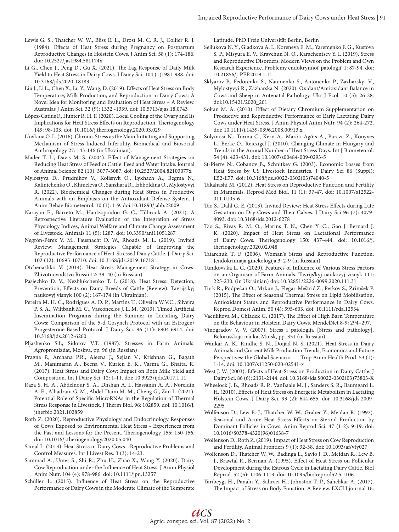- Lewis G. S., Thatcher W. W., Bliss E. L., Drost M. C. R. J., Collier R. J. (1984). Effects of Heat Stress during Pregnancy on Postpartum Reproductive Changes in Holstein Cows. J Anim Sci. 58 (1): 174-186. doi: 10.2527/jas1984.581174x
- Li G., Chen J., Peng D., Gu X. (2021). The Lag Response of Daily Milk Yield to Heat Stress in Dairy Cows. J Dairy Sci. 104 (1): 981-988. doi: 10.3168/jds.2020-18183
- Liu J., Li L., Chen X., Lu Y., Wang, D. (2019). Effects of Heat Stress on Body Temperature, Milk Production, and Reproduction in Dairy Cows: A Novel Idea for Monitoring and Evaluation of Heat Stress – A Review. Australas J Anim Sci. 32 (9): 1332 -1339. doi: 10.5713/ajas.18.0743
- López-Gatius F., Hunter R. H. F. (2020). Local Cooling of the Ovary and Its Implications for Heat Stress Effects on Reproduction. Theriogenology 149: 98-103. doi: 10.1016/j.theriogenology.2020.03.029
- L'ovkina O. L. (2016). Chronic Stress as the Main Initiating and Supporting Mechanism of Stress-Induced Infertility. Biomedical and Biosocial Anthropology 27: 143-146 (in Ukrainian).
- Mader T. L., Davis M. S. (2004). Effect of Management Strategies on Reducing Heat Stress of Feedlot Cattle: Feed and Water Intake. Journal of Animal Science 82 (10): 3077-3087. doi: 10.2527/2004.82103077x
- Mylostуva D., Prudnikov V., Kolisnyk O., Lykhach A., Begma N., Кalinichenko O., Khmeleva O., Sanzhara R., Izhboldina O., Mylostyvyi R. (2022). Biochemical Changes during Heat Stress in Productive Animals with an Emphasis on the Antioxidant Defense System. J Anim Behav Biometeorol. 10 (1): 1-9. doi:10.31893/jabb.22009
- Narayan E., Barreto M., Hantzopoulou G. C., Tilbrook A. (2021). A Retrospective Literature Evaluation of the Integration of Stress Physiology Indices, Animal Welfare and Climate Change Assessment of Livestock. Animals 11 (5): 1287. doi: 10.3390/ani11051287
- Negrón-Pérez V. M., Fausnacht D. W., Rhoads M. L. (2019). Invited Review: Management Strategies Capable of Improving the Reproductive Performance of Heat-Stressed Dairy Cattle. J. Dairy Sci. 102 (12): 10695-10710. doi: 10.3168/jds.2019-16718
- Otchenashko V. (2014). Heat Stress Management Strategy in Cows. Zhivotnovodstvo Rossii 12: 39–40 (in Russian).
- Pasjechko D. V., Nezhlukchenko T. I. (2018). Heat Stress: Detection, Prevention, Effects on Dairy Breeds of Cattle (Review). Tavrijs'kyj naukovyj visnyk 100 (2): 167-174 (in Ukrainian).
- Pereira M. H. C., Rodrigues A. D. P., Martins T., Oliveira W.V.C., Silveira P. S. A., Wiltbank M. C., Vasconcelos J. L. M. (2013). Timed Artificial Insemination Programs during the Summer in Lactating Dairy Cows: Comparison of the 5-d Cosynch Protocol with an Estrogen/ Progesterone-Based Protocol. J Dairy Sci. 96 (11): 6904-6914. doi: 10.3168/jds.2012-6260
- Pljashenko S.I., Sidorov V.T. (1987). Stresses in Farm Animals. Agropromizdat, Moskva, pp. 96 (in Russian)
- Pragna P., Archana P.R., Aleena J., Sejian V., Krishnan G., Bagath M., Manimaran A., Beena V., Kurien E. K., Varma G., Bhatta, R. (2017). Heat Stress and Dairy Cow: Impact on Both Milk Yield and Composition. Int J Dairy Sci. 12: 1-11. doi: 10.3923/ijds.2017.1.11
- Raza S. H. A., Abdelnour S. A., Dhshan A. I., Hassanin A. A., Noreldin A. E., Albadrani G. M., Abdel-Daim M. M., Cheng G., Zan L. (2021). Potential Role of Specific MicroRNAs in the Regulation of Thermal Stress Response in Livestock. J Therm Biol. 96: 102859. doi: 10.1016/j. jtherbio.2021.102859
- Roth Z. (2020). Reproductive Physiology and Endocrinology Responses of Cows Exposed to Environmental Heat Stress - Experiences from the Past and Lessons for the Present. Theriogenology 155: 150-156. doi: 10.1016/j.theriogenology.2020.05.040
- Samal L. (2013). Heat Stress in Dairy Cows Reproductive Problems and Control Measures. Int J Livest Res. 3 (3): 14-23.
- Sammad A., Umer S., Shi R., Zhu H., Zhao X., Wang Y. (2020). Dairy Cow Reproduction under the Influence of Heat Stress. J Anim Physiol Anim Nutr. 104 (4): 978-986. doi: 10.1111/jpn.13257
- Schüller L. (2015). Influence of Heat Stress on the Reproductive Performance of Dairy Cows in the Moderate Climate of the Temperate

Latitude. PhD Freie Universität Berlin, Berlin

- Seliukova N. Y., Gladkova A. I., Koreneva E. M., Yaremenko F. G., Kustova S. P., Misyura E. V., Kravchun N. O., Karachentsev Y. I. (2019). Stress and Reproductive Disorders: Modern Views on the Problem and Own Research Experience. Problemy endokrynnoi' patologii' 1: 87-94. doi: 10.21856/j-PEP.2019.1.11
- Sklyarov P., Fedorenko S., Naumenko S., Antonenko P., Zazharskyi V., Mylostyvyi R., Zazharska N. (2020). Oxidant/Antioxidant Balance in Cows and Sheep in Antenatal Pathology. Ukr J Ecol. 10 (5): 26-28. doi:10.15421/2020\_201
- Soltan M. A. (2010). Effect of Dietary Chromium Supplementation on Productive and Reproductive Performance of Early Lactating Dairy Cows under Heat Stress. J Anim Physiol Anim Nutr. 94 (2): 264-272. doi: 10.1111/j.1439-0396.2008.00913.x
- Solymosi N., Torma C., Kern A., Maróti-Agóts Á., Barcza Z., Könyves L., Berke O., Reiczigel J. (2010). Changing Climate in Hungary and Trends in the Annual Number of Heat Stress Days. Int J Biometeorol. 54 (4): 423-431. doi: 10.1007/s00484-009-0293-5
- St-Pierre N., Cobanov B., Schnitkey G. (2003). Economic Losses from Heat Stress by US Livestock Industries. J Dairy Sci 86 (Suppl): E52-E77. doi: 10.3168/jds.s0022-0302(03)74040-5
- Takahashi M. (2012). Heat Stress on Reproductive Function and Fertility in Mammals. Reprod Med Biol. 11 (1): 37-47. doi: 10.1007/s12522- 011-0105-6
- Tao S., Dahl G. E. (2013). Invited Review: Heat Stress Effects during Late Gestation on Dry Cows and Their Calves. J Dairy Sci 96 (7): 4079- 4093. doi: 10.3168/jds.2012-6278
- Tao S., Rivas R. M. O., Marins T. N., Chen Y. C., Gao J. Bernard J. K. (2020). Impact of Heat Stress on Lactational Performance of Dairy Cows. Theriogenology 150: 437-444. doi: 10.1016/j. theriogenology.2020.02.048
- Tatarchuk T. F. (2006). Woman's Stress and Reproductive Function. Jendokrinnaja ginekologija 3: 2-9 (in Russian)
- Tunikovs'ka L. G. (2020). Features of Influence of Various Stress Factors on an Organism of Farm Animals. Tavrijs'kyj naukovyj visnyk 111: 225-230. (in Ukrainian) doi: 10.32851/2226-0099.2020.111.31
- Turk R., Podpečan O., Mrkun J., Flegar‐Meštrić Z., Perkov S., Zrimšek P. (2015). The Effect of Seasonal Thermal Stress on Lipid Mobilisation, Antioxidant Status and Reproductive Performance in Dairy Cows. Reprod Domest Anim. 50 (4): 595-603. doi: 10.1111/rda.12534
- Vaculikova M., Chladek G. (2017). The Effect of High Barn Temperature on the Behaviour in Holstein Dairy Cows. MendelNet 8-9: 294–297.
- Vinogradov V. V. (2007). Stress i patologija [Stress and pathology]. Belorusskaja nauka, Minsk, рр. 351 (in Russian).
- Wankar A. K., Rindhe S. N., Doijad N. S. (2021). Heat Stress in Dairy Animals and Current Milk Production Trends, Economics and Future Perspectives: the Global Scenario. Trop Anim Health Prod. 53 (1): 1-14. doi: 10.1007/s11250-020-02541-x
- West J. W. (2003). Effects of Heat-Stress on Production in Dairy Cattle. J Dairy Sci. 86 (6): 2131-2144. doi: 10.3168/jds.S0022-0302(03)73803-X
- Wheelock J. B., Rhoads R. P., VanBaale M. J., Sanders S. R., Baumgard L. H. (2010). Effects of Heat Stress on Energetic Metabolism in Lactating Holstein Cows. J Dairy Sci. 93 (2): 644-655. doi: 10.3168/jds.2009- 2295
- Wolfenson D., Lew B. J., Thatcher W. W., Graber Y., Meidan R. (1997). Seasonal and Acute Heat Stress Effects on Steroid Production by Dominant Follicles in Cows. Anim Reprod Sci. 47 (1-2): 9-19. doi: 10.1016/S0378-4320(96)01638-7
- Wolfenson D., Roth Z. (2019). Impact of Heat Stress on Cow Reproduction and Fertility. Animal Frontiers 9 (1): 32-38. doi: 10.1093/af/vfy027
- Wolfenson D., Thatcher W. W., Badinga L., Savio J. D., Meidan R., Lew B. J., Brawtal R., Berman A. (1995). Effect of Heat Stress on Follicular Development during the Estrous Cycle in Lactating Dairy Cattle. Biol Reprod. 52 (5): 1106-1113. doi: 10.1095/biolreprod52.5.1106
- Yaribeygi H., Panahi Y., Sahraei H., Johnston T. P., Sahebkar A. (2017). The Impact of Stress on Body Function: A Review. EXCLI journal 16: